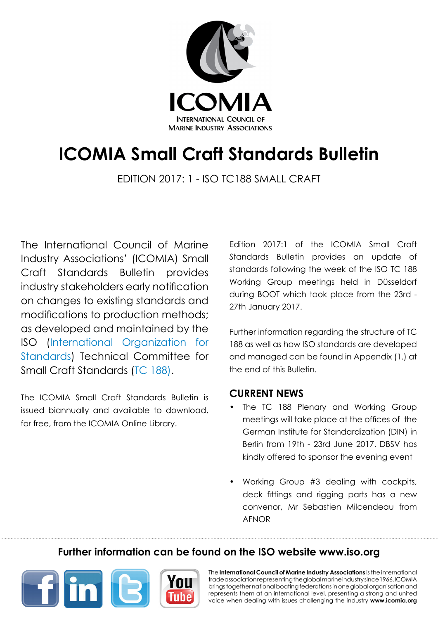

# **ICOMIA Small Craft Standards Bulletin**

Edition 2017: 1 - ISO TC188 Small CRaft

The International Council of Marine Industry Associations' (ICOMIA) Small Craft Standards Bulletin provides industry stakeholders early notification on changes to existing standards and modifications to production methods; as developed and maintained by the ISO [\(International Organization for](http://www.iso.org/) [Standards\)](http://www.iso.org/) Technical Committee for Small Craft Standards ([TC 188](http://www.iso.org/iso/standards_development/technical_committees/other_bodies/iso_technical_committee.htm?commid=54258)).

The ICOMIA Small Craft Standards Bulletin is issued biannually and available to download, for free, from the ICOMIA [Online Library.](http://www.icomia.com/library)

Edition 2017:1 of the ICOMIA Small Craft Standards Bulletin provides an update of standards following the week of the ISO TC 188 Working Group meetings held in Düsseldorf during BOOT which took place from the 23rd - 27th January 2017.

Further information regarding the structure of TC 188 as well as how ISO standards are developed and managed can be found in Appendix (1.) at the end of this Bulletin.

### **CURRENT NEWS**

- The TC 188 Plenary and Working Group meetings will take place at the offices of the German Institute for Standardization (DIN) in Berlin from 19th - 23rd June 2017. DBSV has kindly offered to sponsor the evening event
- Working Group #3 dealing with cockpits, deck fittings and rigging parts has a new convenor, Mr Sebastien Milcendeau from AFNOR

# **Further information can be found on the ISO website [www.iso.org](http://www.iso.org/iso/home.html)**



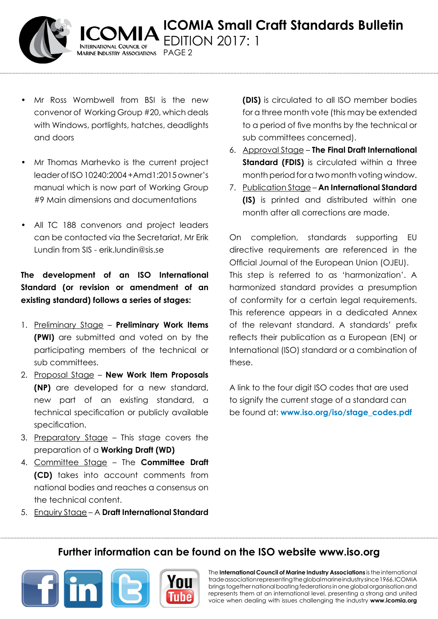

• Mr Ross Wombwell from BSI is the new convenor of Working Group #20, which deals with Windows, portlights, hatches, deadlights and doors

*MARINE INDUSTRY ASSOCIATIONS PAGE 2* 

- Mr Thomas Marhevko is the current project leader of ISO 10240:2004 +Amd1:2015 owner's manual which is now part of Working Group #9 Main dimensions and documentations
- All TC 188 convenors and project leaders can be contacted via the Secretariat, Mr Erik Lundin from SIS - erik.lundin@sis.se

**The development of an ISO International Standard (or revision or amendment of an existing standard) follows a series of stages:** 

- 1. Preliminary Stage **Preliminary Work Items (PWI)** are submitted and voted on by the participating members of the technical or sub committees.
- 2. Proposal Stage **New Work Item Proposals (NP)** are developed for a new standard, new part of an existing standard, a technical specification or publicly available specification.
- 3. Preparatory Stage This stage covers the preparation of a **Working Draft (WD)**
- 4. Committee Stage The **Committee Draft (CD)** takes into account comments from national bodies and reaches a consensus on the technical content.

**(DIS)** is circulated to all ISO member bodies for a three month vote (this may be extended to a period of five months by the technical or sub committees concerned).

- 6. Approval Stage **The Final Draft International Standard (FDIS)** is circulated within a three month period for a two month voting window.
- 7. Publication Stage **An International Standard (IS)** is printed and distributed within one month after all corrections are made.

On completion, standards supporting EU directive requirements are referenced in the Official Journal of the European Union (OJEU). This step is referred to as 'harmonization'. A harmonized standard provides a presumption of conformity for a certain legal requirements. This reference appears in a dedicated Annex of the relevant standard. A standards' prefix reflects their publication as a European (EN) or International (ISO) standard or a combination of these.

A link to the four digit ISO codes that are used to signify the current stage of a standard can be found at: **[www.iso.org/iso/stage\\_codes.pdf](http://www.iso.org/iso/stage_codes.pdf)** 

5. Enquiry Stage – A **Draft International Standard** 

# **Further information can be found on the ISO website [www.iso.org](http://www.iso.org/iso/home.html)**



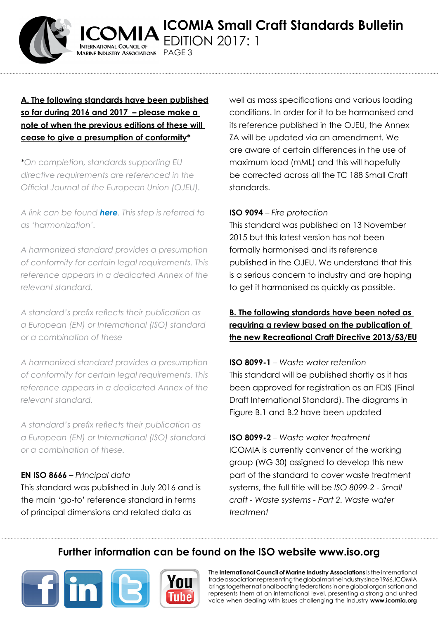

### **A. The following standards have been published so far during 2016 and 2017 – please make a note of when the previous editions of these will cease to give a presumption of conformity\***

**ARINE INDUSTRY ASSOCIATIONS** 

PAGF<sub>3</sub>

*\*On completion, standards supporting EU directive requirements are referenced in the Official Journal of the European Union (OJEU).* 

*A link can be found [here](http://ec.europa.eu/growth/single-market/european-standards/harmonised-standards/recreational-craft/#This is the first publication). This step is referred to as 'harmonization'.* 

*A harmonized standard provides a presumption of conformity for certain legal requirements. This reference appears in a dedicated Annex of the relevant standard.*

*A standard's prefix reflects their publication as a European (EN) or International (ISO) standard or a combination of these*

*A harmonized standard provides a presumption of conformity for certain legal requirements. This reference appears in a dedicated Annex of the relevant standard.*

*A standard's prefix reflects their publication as a European (EN) or International (ISO) standard or a combination of these.*

### **EN ISO 8666** – *Principal data*

This standard was published in July 2016 and is the main 'go-to' reference standard in terms of principal dimensions and related data as

well as mass specifications and various loading conditions. In order for it to be harmonised and its reference published in the OJEU, the Annex ZA will be updated via an amendment. We are aware of certain differences in the use of maximum load (mML) and this will hopefully be corrected across all the TC 188 Small Craft standards.

#### **ISO 9094** – *Fire protection*

This standard was published on 13 November 2015 but this latest version has not been formally harmonised and its reference published in the OJEU. We understand that this is a serious concern to industry and are hoping to get it harmonised as quickly as possible.

## **B. The following standards have been noted as requiring a review based on the publication of the new Recreational Craft Directive 2013/53/EU**

**ISO 8099-1** – *Waste water retention*  This standard will be published shortly as it has been approved for registration as an FDIS (Final Draft International Standard). The diagrams in Figure B.1 and B.2 have been updated

**ISO 8099-2** – *Waste water treatment* ICOMIA is currently convenor of the working group (WG 30) assigned to develop this new part of the standard to cover waste treatment systems, the full title will be *ISO 8099-2 - Small craft - Waste systems - Part 2. Waste water treatment*

# **Further information can be found on the ISO website [www.iso.org](http://www.iso.org/iso/home.html)**



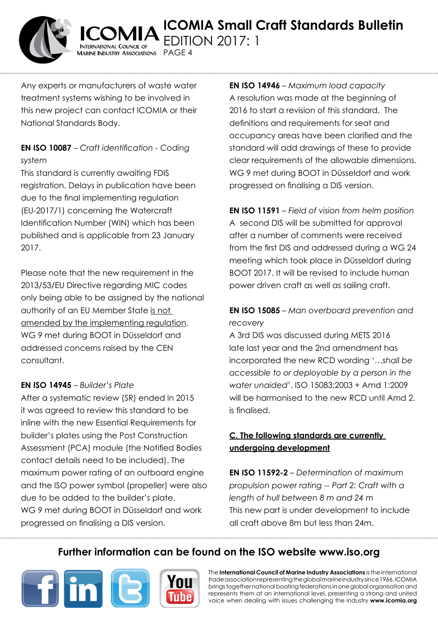

**ICOMIA Small Craft Standards Bulletin** Edition 2017: 1  $A$ arine Industry Associations  $\;\;$  PAGE 4

Any experts or manufacturers of waste water treatment systems wishing to be involved in this new project can contact ICOMIA or their National Standards Body.

### **EN ISO 10087** – *Craft identification - Coding system*

This standard is currently awaiting FDIS registration. Delays in publication have been due to the final implementing regulation (EU-2017/1) concerning the Watercraft Identification Number (WIN) which has been published and is applicable from 23 January 2017.

Please note that the new requirement in the 2013/53/EU Directive regarding MIC codes only being able to be assigned by the national authority of an EU Member State is not amended by the implementing regulation. WG 9 met during BOOT in Düsseldorf and addressed concerns raised by the CEN consultant.

#### **EN ISO 14945** – *Builder's Plate*

After a systematic review (SR) ended in 2015 it was agreed to review this standard to be inline with the new Essential Requirements for builder's plates using the Post Construction Assessment (PCA) module (the Notified Bodies contact details need to be included). The maximum power rating of an outboard engine and the ISO power symbol (propeller) were also due to be added to the builder's plate. WG 9 met during BOOT in Düsseldorf and work progressed on finalising a DIS version.

**EN ISO 14946** – *Maximum load capacity* A resolution was made at the beginning of 2016 to start a revision of this standard. The definitions and requirements for seat and occupancy areas have been clarified and the standard will add drawings of these to provide clear requirements of the allowable dimensions. WG 9 met during BOOT in Düsseldorf and work progressed on finalising a DIS version.

**EN ISO 11591** – *Field of vision from helm position* A second DIS will be submitted for approval after a number of comments were received from the first DIS and addressed during a WG 24 meeting which took place in Düsseldorf during BOOT 2017. It will be revised to include human power driven craft as well as sailing craft.

### **EN ISO 15085** – *Man overboard prevention and recovery*

A 3rd DIS was discussed during METS 2016 late last year and the 2nd amendment has incorporated the new RCD wording '…*shall be accessible to or deployable by a person in the water unaided*'. ISO 15083:2003 + Amd 1:2009 will be harmonised to the new RCD until Amd 2. is finalised.

### **C. The following standards are currently undergoing development**

**EN ISO 11592-2** – *Determination of maximum propulsion power rating -- Part 2: Craft with a length of hull between 8 m and 24 m* This new part is under development to include all craft above 8m but less than 24m.

# **Further information can be found on the ISO website [www.iso.org](http://www.iso.org/iso/home.html)**

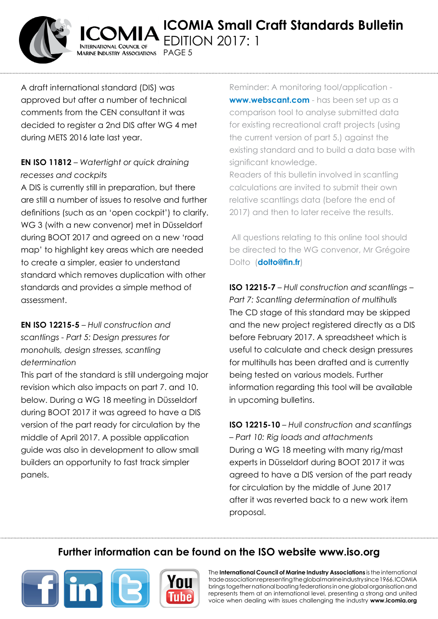

A draft international standard (DIS) was approved but after a number of technical comments from the CEN consultant it was decided to register a 2nd DIS after WG 4 met during METS 2016 late last year.

AARINE INDUSTRY ASSOCIATIONS PAGE 5

### **EN ISO 11812** – *Watertight or quick draining recesses and cockpits*

A DIS is currently still in preparation, but there are still a number of issues to resolve and further definitions (such as an 'open cockpit') to clarify. WG 3 (with a new convenor) met in Düsseldorf during BOOT 2017 and agreed on a new 'road map' to highlight key areas which are needed to create a simpler, easier to understand standard which removes duplication with other standards and provides a simple method of assessment.

## **EN ISO 12215-5** – *Hull construction and scantlings - Part 5: Design pressures for monohulls, design stresses, scantling determination*

This part of the standard is still undergoing major revision which also impacts on part 7. and 10. below. During a WG 18 meeting in Düsseldorf during BOOT 2017 it was agreed to have a DIS version of the part ready for circulation by the middle of April 2017. A possible application guide was also in development to allow small builders an opportunity to fast track simpler panels.

Reminder: A monitoring tool/application **[www.webscant.com](http://www.webscant.com/%20)** - has been set up as a comparison tool to analyse submitted data for existing recreational craft projects (using the current version of part 5.) against the existing standard and to build a data base with significant knowledge.

Readers of this bulletin involved in scantling calculations are invited to submit their own relative scantlings data (before the end of 2017) and then to later receive the results.

All questions relating to this online tool should be directed to the WG convenor, Mr Grégoire Dolto (**[dolto@fin.fr](mailto:dolto%40fin.fr%20%20?subject=ICOMIA)**)

**ISO 12215-7** – *Hull construction and scantlings – Part 7: Scantling determination of multihulls* The CD stage of this standard may be skipped and the new project registered directly as a DIS before February 2017. A spreadsheet which is useful to calculate and check design pressures for multihulls has been drafted and is currently being tested on various models. Further information regarding this tool will be available in upcoming bulletins.

**ISO 12215-10** – *Hull construction and scantlings – Part 10: Rig loads and attachments* During a WG 18 meeting with many rig/mast experts in Düsseldorf during BOOT 2017 it was agreed to have a DIS version of the part ready for circulation by the middle of June 2017 after it was reverted back to a new work item proposal.

# **Further information can be found on the ISO website [www.iso.org](http://www.iso.org/iso/home.html)**



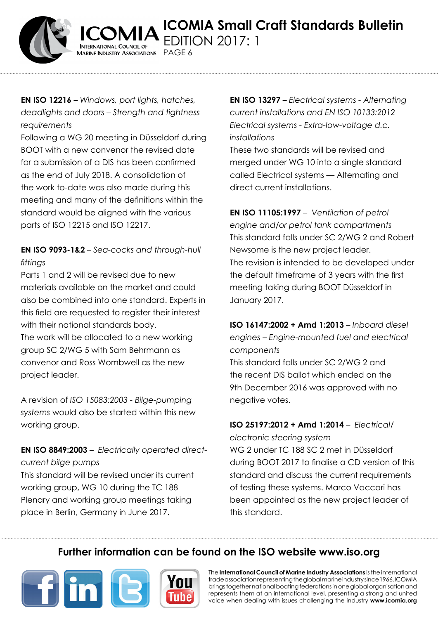

**EN ISO 12216** – *Windows, port lights, hatches, deadlights and doors – Strength and tightness requirements*

Marine Industry Associations PAGE 6

Following a WG 20 meeting in Düsseldorf during BOOT with a new convenor the revised date for a submission of a DIS has been confirmed as the end of July 2018. A consolidation of the work to-date was also made during this meeting and many of the definitions within the standard would be aligned with the various parts of ISO 12215 and ISO 12217.

# **EN ISO 9093-1&2** – *Sea-cocks and through-hull fittings*

Parts 1 and 2 will be revised due to new materials available on the market and could also be combined into one standard. Experts in this field are requested to register their interest with their national standards body. The work will be allocated to a new working group SC 2/WG 5 with Sam Behrmann as convenor and Ross Wombwell as the new project leader.

A revision of *ISO 15083:2003 - Bilge-pumping systems* would also be started within this new working group.

**EN ISO 8849:2003** – *Electrically operated directcurrent bilge pumps*

This standard will be revised under its current working group, WG 10 during the TC 188 Plenary and working group meetings taking place in Berlin, Germany in June 2017.

**EN ISO 13297** – *Electrical systems - Alternating current installations and EN ISO 10133:2012 Electrical systems - Extra-low-voltage d.c. installations*

These two standards will be revised and merged under WG 10 into a single standard called Electrical systems — Alternating and direct current installations.

**EN ISO 11105:1997** – *Ventilation of petrol engine and/or petrol tank compartments* This standard falls under SC 2/WG 2 and Robert Newsome is the new project leader. The revision is intended to be developed under the default timeframe of 3 years with the first meeting taking during BOOT Düsseldorf in January 2017.

**ISO 16147:2002 + Amd 1:2013** – *Inboard diesel engines – Engine-mounted fuel and electrical components*

This standard falls under SC 2/WG 2 and the recent DIS ballot which ended on the 9th December 2016 was approved with no negative votes.

#### **ISO 25197:2012 + Amd 1:2014** – *Electrical/*

*electronic steering system*  WG 2 under TC 188 SC 2 met in Düsseldorf during BOOT 2017 to finalise a CD version of this standard and discuss the current requirements of testing these systems. Marco Vaccari has been appointed as the new project leader of this standard.

# **Further information can be found on the ISO website [www.iso.org](http://www.iso.org/iso/home.html)**

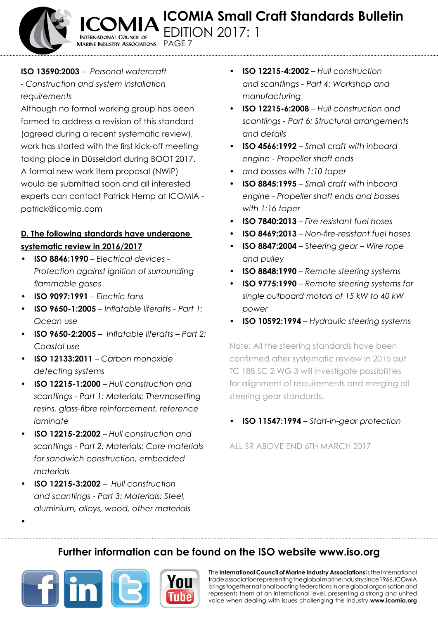**TERNATIONAL COUNCIL OF AARINE INDUSTRY ASSOCIATIONS** Page 7

#### **ISO 13590:2003** – *Personal watercraft - Construction and system installation requirements*

Although no formal working group has been formed to address a revision of this standard (agreed during a recent systematic review), work has started with the first kick-off meeting taking place in Düsseldorf during BOOT 2017. A formal new work item proposal (NWIP) would be submitted soon and all interested experts can contact Patrick Hemp at ICOMIA [patrick@icomia.com](mailto:patrick%40icomia.com%20?subject=Standards%20Bulletin)

### **D. The following standards have undergone systematic review in 2016/2017**

- **• ISO 8846:1990** *Electrical devices Protection against ignition of surrounding flammable gases*
- **• ISO 9097:1991**  *Electric fans*
- **• ISO 9650-1:2005** *Inflatable liferafts Part 1: Ocean use*
- **• ISO 9650-2:2005** *Inflatable liferafts Part 2: Coastal use*
- **• ISO 12133:2011** *Carbon monoxide detecting systems*
- **• ISO 12215-1:2000** *Hull construction and scantlings - Part 1: Materials: Thermosetting resins, glass-fibre reinforcement, reference laminate*
- **• ISO 12215-2:2002** *Hull construction and scantlings - Part 2: Materials: Core materials for sandwich construction, embedded materials*
- **• ISO 12215-3:2002**  *Hull construction and scantlings - Part 3: Materials: Steel, aluminium, alloys, wood, other materials*
- **• ISO 12215-4:2002**  *Hull construction and scantlings - Part 4: Workshop and manufacturing*
- **• ISO 12215-6:2008** *Hull construction and scantlings - Part 6: Structural arrangements and details*
- **• ISO 4566:1992** *Small craft with inboard engine - Propeller shaft ends*
- *• and bosses with 1:10 taper*
- **• ISO 8845:1995** *Small craft with inboard engine - Propeller shaft ends and bosses with 1:16 taper*
- **ISO 7840:2013** Fire resistant fuel hoses
- **• ISO 8469:2013** *Non-fire-resistant fuel hoses*
- **ISO 8847:2004** Steering gear Wire rope *and pulley*
- **• ISO 8848:1990**  *Remote steering systems*
- **ISO 9775:1990** Remote steering systems for *single outboard motors of 15 kW to 40 kW power*
- **ISO 10592:1994** Hydraulic steering systems

Note: All the steering standards have been confirmed after systematic review in 2015 but TC 188 SC 2 WG 3 will investigate possibilities for alignment of requirements and merging all steering gear standards.

**ISO 11547:1994** – *Start-in-gear protection* 

All SR above end 6th March 2017

# **Further information can be found on the ISO website [www.iso.org](http://www.iso.org/iso/home.html)**



*•*

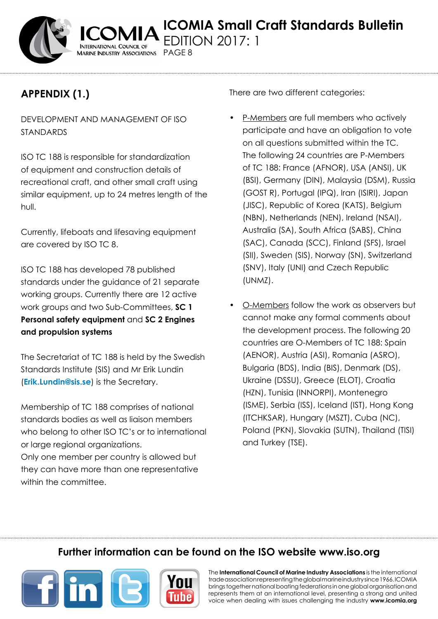

# **Appendix (1.)**

DEVELOPMENT AND MANAGEMENT OF ISO STANDARDS

Marine Industry Associations PAGE 8

ISO TC 188 is responsible for standardization of equipment and construction details of recreational craft, and other small craft using similar equipment, up to 24 metres length of the hull.

Currently, lifeboats and lifesaving equipment are covered by ISO TC 8.

ISO TC 188 has developed 78 published standards under the guidance of 21 separate working groups. Currently there are 12 active work groups and two Sub-Committees, **SC 1 Personal safety equipment** and **SC 2 Engines and propulsion systems**

The Secretariat of TC 188 is held by the Swedish Standards Institute (SIS) and Mr Erik Lundin (**[Erik.Lundin@sis.se](mailto:Erik.Lundin%40sis.se%20?subject=ICOMIA)**) is the Secretary.

Membership of TC 188 comprises of national standards bodies as well as liaison members who belong to other ISO TC's or to international or large regional organizations.

Only one member per country is allowed but they can have more than one representative within the committee.

There are two different categories:

- P-Members are full members who actively participate and have an obligation to vote on all questions submitted within the TC. The following 24 countries are P-Members of TC 188: France (AFNOR), USA (ANSI), UK (BSI), Germany (DIN), Malaysia (DSM), Russia (GOST R), Portugal (IPQ), Iran (ISIRI), Japan (JISC), Republic of Korea (KATS), Belgium (NBN), Netherlands (NEN), Ireland (NSAI), Australia (SA), South Africa (SABS), China (SAC), Canada (SCC), Finland (SFS), Israel (SII), Sweden (SIS), Norway (SN), Switzerland (SNV), Italy (UNI) and Czech Republic (UNMZ).
- O-Members follow the work as observers but cannot make any formal comments about the development process. The following 20 countries are O-Members of TC 188: Spain (AENOR), Austria (ASI), Romania (ASRO), Bulgaria (BDS), India (BIS), Denmark (DS), Ukraine (DSSU), Greece (ELOT), Croatia (HZN), Tunisia (INNORPI), Montenegro (ISME), Serbia (ISS), Iceland (IST), Hong Kong (ITCHKSAR), Hungary (MSZT), Cuba (NC), Poland (PKN), Slovakia (SUTN), Thailand (TISI) and Turkey (TSE).

# **Further information can be found on the ISO website [www.iso.org](http://www.iso.org/iso/home.html)**



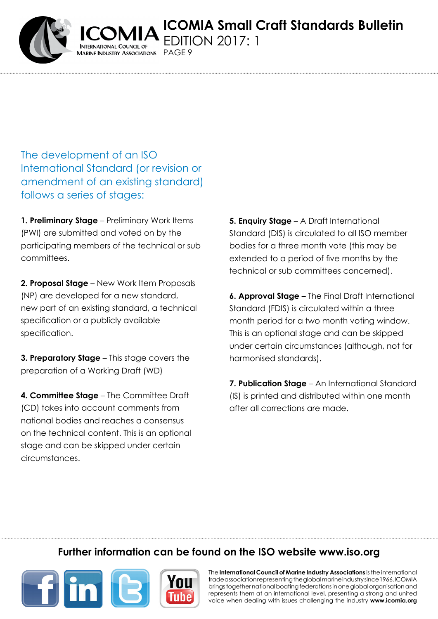**ICOMIA Small Craft Standards Bulletin** DITION 2017: 1

PAGF<sub>9</sub>

The development of an ISO International Standard (or revision or amendment of an existing standard) follows a series of stages:

**1. Preliminary Stage** – Preliminary Work Items (PWI) are submitted and voted on by the participating members of the technical or sub committees.

**2. Proposal Stage** – New Work Item Proposals (NP) are developed for a new standard, new part of an existing standard, a technical specification or a publicly available specification.

**3. Preparatory Stage** – This stage covers the preparation of a Working Draft (WD)

**4. Committee Stage** – The Committee Draft (CD) takes into account comments from national bodies and reaches a consensus on the technical content. This is an optional stage and can be skipped under certain circumstances.

**5. Enquiry Stage** – A Draft International Standard (DIS) is circulated to all ISO member bodies for a three month vote (this may be extended to a period of five months by the technical or sub committees concerned).

**6. Approval Stage –** The Final Draft International Standard (FDIS) is circulated within a three month period for a two month voting window. This is an optional stage and can be skipped under certain circumstances (although, not for harmonised standards).

**7. Publication Stage** – An International Standard (IS) is printed and distributed within one month after all corrections are made.

# **Further information can be found on the ISO website [www.iso.org](http://www.iso.org/iso/home.html)**



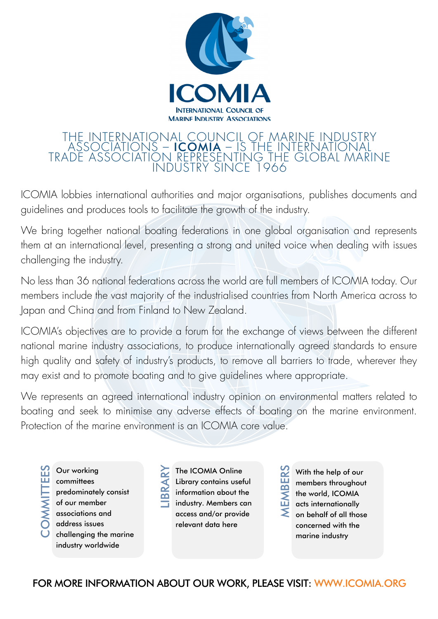

### The international council of marine industry associations – icomia – is the international trade association representing the global marine industry since 1966

ICOMIA lobbies international authorities and major organisations, publishes documents and guidelines and produces tools to facilitate the growth of the industry.

We bring together national boating federations in one global organisation and represents them at an international level, presenting a strong and united voice when dealing with issues challenging the industry.

No less than 36 national federations across the world are full members of ICOMIA today. Our members include the vast majority of the industrialised countries from North America across to Japan and China and from Finland to New Zealand.

ICOMIA's objectives are to provide a forum for the exchange of views between the different national marine industry associations, to produce internationally agreed standards to ensure high quality and safety of industry's products, to remove all barriers to trade, wherever they may exist and to promote boating and to give guidelines where appropriate.

We represents an agreed international industry opinion on environmental matters related to boating and seek to minimise any adverse effects of boating on the marine environment. Protection of the marine environment is an ICOMIA core value.

Our working **OMMITTEES OMMITTEE** committees predominately consist of our member associations and address issues  $\boldsymbol{\cup}$ challenging the marine industry worldwide

The ICOMIA Online Library contains useful information about the industry. Members can access and/or provide relevant data here

 $\overline{\phantom{0}}$ 

ibrary

With the help of our members throughout the world, ICOMIA acts internationally on behalf of all those concerned with the marine industry Members